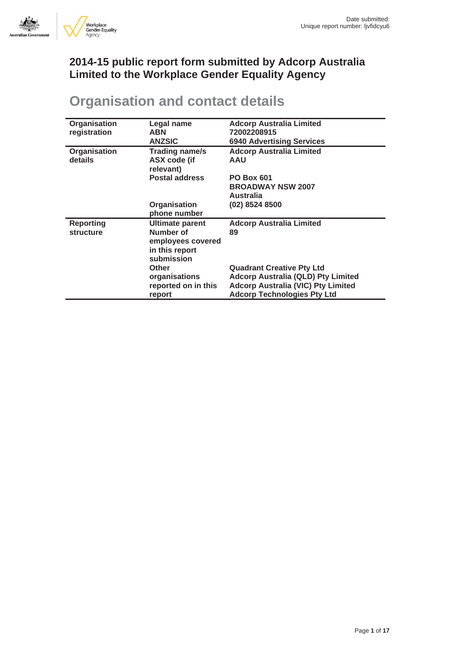

## **2014-15 public report form submitted by Adcorp Australia Limited to the Workplace Gender Equality Agency**

## **Organisation and contact details**

| Organisation<br>registration  | Legal name<br><b>ABN</b><br><b>ANZSIC</b>                                                | <b>Adcorp Australia Limited</b><br>72002208915<br><b>6940 Advertising Services</b>                                                                               |  |  |
|-------------------------------|------------------------------------------------------------------------------------------|------------------------------------------------------------------------------------------------------------------------------------------------------------------|--|--|
| Organisation<br>details       | Trading name/s<br>ASX code (if<br>relevant)                                              | <b>Adcorp Australia Limited</b><br><b>AAU</b>                                                                                                                    |  |  |
|                               | <b>Postal address</b>                                                                    | <b>PO Box 601</b><br><b>BROADWAY NSW 2007</b><br><b>Australia</b>                                                                                                |  |  |
|                               | Organisation<br>phone number                                                             | (02) 8524 8500                                                                                                                                                   |  |  |
| <b>Reporting</b><br>structure | <b>Ultimate parent</b><br>Number of<br>employees covered<br>in this report<br>submission | <b>Adcorp Australia Limited</b><br>89                                                                                                                            |  |  |
|                               | <b>Other</b><br>organisations<br>reported on in this<br>report                           | <b>Quadrant Creative Pty Ltd</b><br><b>Adcorp Australia (QLD) Pty Limited</b><br><b>Adcorp Australia (VIC) Pty Limited</b><br><b>Adcorp Technologies Pty Ltd</b> |  |  |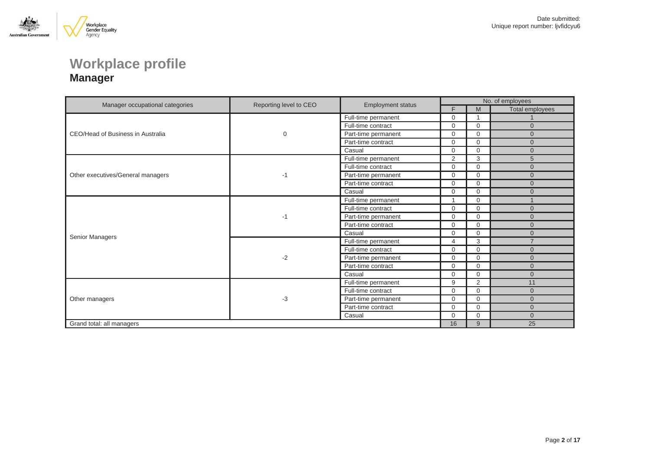

## **Workplace profile Manager**

|                                   |                        |                          | No. of employees |                         |                 |  |
|-----------------------------------|------------------------|--------------------------|------------------|-------------------------|-----------------|--|
| Manager occupational categories   | Reporting level to CEO | <b>Employment status</b> | F                | M                       | Total employees |  |
|                                   |                        | Full-time permanent      | 0                | $\overline{\mathbf{A}}$ |                 |  |
|                                   |                        | Full-time contract       | $\Omega$         | $\mathbf 0$             | $\overline{0}$  |  |
| CEO/Head of Business in Australia | 0                      | Part-time permanent      | $\Omega$         | $\Omega$                | $\Omega$        |  |
|                                   |                        | Part-time contract       | 0                | $\Omega$                | $\overline{0}$  |  |
|                                   |                        | Casual                   | $\Omega$         | $\mathbf 0$             | $\Omega$        |  |
|                                   |                        | Full-time permanent      | $\overline{2}$   | 3                       | 5               |  |
|                                   | -1                     | Full-time contract       | 0                | $\Omega$                | $\Omega$        |  |
| Other executives/General managers |                        | Part-time permanent      | $\Omega$         | $\mathbf 0$             | $\Omega$        |  |
|                                   |                        | Part-time contract       | 0                | $\mathbf 0$             | $\Omega$        |  |
|                                   |                        | Casual                   | $\Omega$         | $\Omega$                | $\Omega$        |  |
|                                   |                        | Full-time permanent      | 1                | $\Omega$                |                 |  |
|                                   | -1                     | Full-time contract       | $\Omega$         | $\Omega$                | $\Omega$        |  |
|                                   |                        | Part-time permanent      | 0                | $\Omega$                | $\Omega$        |  |
|                                   |                        | Part-time contract       | 0                | $\mathbf 0$             | $\Omega$        |  |
|                                   |                        | Casual                   | $\Omega$         | $\Omega$                | $\Omega$        |  |
| Senior Managers                   |                        | Full-time permanent      | 4                | 3                       | $\overline{7}$  |  |
|                                   | $-2$                   | Full-time contract       | 0                | $\mathbf 0$             | $\Omega$        |  |
|                                   |                        | Part-time permanent      | $\Omega$         | $\Omega$                | $\Omega$        |  |
|                                   |                        | Part-time contract       | 0                | 0                       | $\Omega$        |  |
|                                   |                        | Casual                   | 0                | $\Omega$                | $\Omega$        |  |
|                                   |                        | Full-time permanent      | 9                | 2                       | 11              |  |
|                                   |                        | Full-time contract       | $\Omega$         | 0                       | $\Omega$        |  |
| Other managers                    | $-3$                   | Part-time permanent      | 0                | $\Omega$                | $\Omega$        |  |
|                                   |                        | Part-time contract       | $\Omega$         | $\Omega$                | $\overline{0}$  |  |
|                                   |                        | Casual                   | $\Omega$         | $\Omega$                | $\Omega$        |  |
| Grand total: all managers         |                        |                          |                  |                         | 25              |  |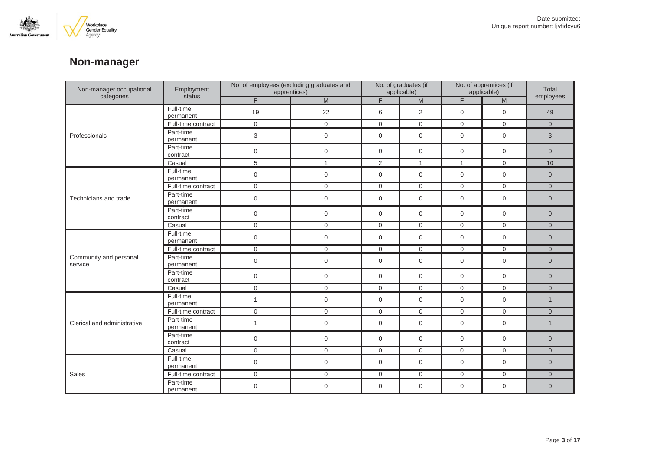

## **Non-manager**

| Non-manager occupational          | Employment<br>status   | No. of employees (excluding graduates and<br>apprentices) |                                   | No. of graduates (if<br>applicable) |                | No. of apprentices (if<br>applicable) |                                                                                                            | Total          |
|-----------------------------------|------------------------|-----------------------------------------------------------|-----------------------------------|-------------------------------------|----------------|---------------------------------------|------------------------------------------------------------------------------------------------------------|----------------|
| categories                        |                        | F.                                                        | $\mathsf{M}% _{H}=\mathsf{M}_{H}$ | F                                   | M              | F.                                    | $\mathsf{M}% _{T}=\mathsf{M}_{T}\!\left( a,b\right) ,\ \mathsf{M}_{T}=\mathsf{M}_{T}\!\left( a,b\right) ,$ | employees      |
| Professionals                     | Full-time<br>permanent | 19                                                        | 22                                | 6                                   | 2              | $\mathbf 0$                           | $\mathbf 0$                                                                                                | 49             |
|                                   | Full-time contract     | $\mathbf 0$                                               | $\mathbf 0$                       | $\mathbf 0$                         | $\mathbf 0$    | $\mathbf 0$                           | $\mathbf 0$                                                                                                | $\overline{0}$ |
|                                   | Part-time<br>permanent | 3                                                         | $\mathbf 0$                       | $\mathbf 0$                         | $\mathbf{0}$   | $\mathbf 0$                           | $\mathbf 0$                                                                                                | 3              |
|                                   | Part-time<br>contract  | $\mathbf 0$                                               | $\mathbf 0$                       | $\mathbf 0$                         | $\mathbf 0$    | $\mathbf 0$                           | $\mathbf 0$                                                                                                | $\overline{0}$ |
|                                   | Casual                 | 5                                                         | $\mathbf{1}$                      | 2                                   | $\mathbf{1}$   | $\mathbf{1}$                          | $\mathbf 0$                                                                                                | 10             |
|                                   | Full-time<br>permanent | $\mathbf 0$                                               | $\boldsymbol{0}$                  | $\mathbf 0$                         | $\mathbf 0$    | $\mathbf 0$                           | $\mathbf 0$                                                                                                | $\overline{0}$ |
|                                   | Full-time contract     | $\mathbf 0$                                               | $\mathbf 0$                       | $\mathbf 0$                         | $\mathbf 0$    | $\mathbf 0$                           | $\mathbf 0$                                                                                                | $\overline{0}$ |
| Technicians and trade             | Part-time<br>permanent | $\mathsf{O}\xspace$                                       | $\mathbf 0$                       | $\mathbf 0$                         | $\mathbf 0$    | $\mathbf 0$                           | $\mathbf 0$                                                                                                | $\overline{0}$ |
|                                   | Part-time<br>contract  | $\mathbf 0$                                               | $\boldsymbol{0}$                  | $\mathbf 0$                         | $\mathbf 0$    | $\mathbf 0$                           | $\mathbf 0$                                                                                                | $\overline{0}$ |
|                                   | Casual                 | $\overline{0}$                                            | $\mathbf 0$                       | $\mathbf 0$                         | $\mathsf{O}$   | $\mathbf 0$                           | $\overline{0}$                                                                                             | $\overline{0}$ |
|                                   | Full-time<br>permanent | $\mathbf 0$                                               | 0                                 | $\mathbf 0$                         | $\mathbf 0$    | $\mathbf 0$                           | $\mathbf 0$                                                                                                | $\overline{0}$ |
|                                   | Full-time contract     | $\overline{0}$                                            | $\mathbf 0$                       | $\mathbf 0$                         | $\mathsf{O}$   | $\mathbf 0$                           | $\mathbf 0$                                                                                                | $\overline{0}$ |
| Community and personal<br>service | Part-time<br>permanent | $\mathbf 0$                                               | $\boldsymbol{0}$                  | $\mathbf 0$                         | $\mathbf 0$    | $\mathbf 0$                           | $\mathbf 0$                                                                                                | $\overline{0}$ |
|                                   | Part-time<br>contract  | $\mathbf 0$                                               | $\mathbf 0$                       | $\mathbf 0$                         | $\mathbf 0$    | $\mathbf{0}$                          | $\mathbf{0}$                                                                                               | $\overline{0}$ |
|                                   | Casual                 | $\overline{0}$                                            | $\overline{0}$                    | $\mathbf 0$                         | $\overline{0}$ | $\mathbf 0$                           | $\mathbf 0$                                                                                                | $\overline{0}$ |
|                                   | Full-time<br>permanent | $\mathbf{1}$                                              | 0                                 | $\mathbf 0$                         | $\mathbf 0$    | $\mathbf 0$                           | $\mathbf 0$                                                                                                | $\mathbf{1}$   |
|                                   | Full-time contract     | $\mathbf{0}$                                              | $\mathsf{O}$                      | $\mathbf{0}$                        | $\overline{0}$ | $\overline{0}$                        | $\mathbf{0}$                                                                                               | $\overline{0}$ |
| Clerical and administrative       | Part-time<br>permanent | $\mathbf{1}$                                              | 0                                 | $\mathbf 0$                         | $\mathbf 0$    | $\mathbf 0$                           | $\mathbf 0$                                                                                                | $\mathbf{1}$   |
|                                   | Part-time<br>contract  | $\mathbf 0$                                               | $\mathbf 0$                       | $\mathbf 0$                         | $\mathbf{0}$   | $\mathbf 0$                           | $\mathbf{0}$                                                                                               | $\overline{0}$ |
|                                   | Casual                 | $\overline{0}$                                            | $\overline{0}$                    | $\mathbf 0$                         | $\mathbf 0$    | $\mathbf 0$                           | $\mathbf 0$                                                                                                | $\overline{0}$ |
| Sales                             | Full-time<br>permanent | $\boldsymbol{0}$                                          | 0                                 | $\mathbf 0$                         | $\mathbf 0$    | $\mathbf 0$                           | $\mathbf 0$                                                                                                | $\overline{0}$ |
|                                   | Full-time contract     | $\overline{0}$                                            | $\overline{0}$                    | $\mathbf 0$                         | $\mathbf 0$    | $\overline{0}$                        | $\mathbf 0$                                                                                                | $\overline{0}$ |
|                                   | Part-time<br>permanent | 0                                                         | 0                                 | 0                                   | $\mathbf 0$    | 0                                     | $\mathbf 0$                                                                                                | $\overline{0}$ |